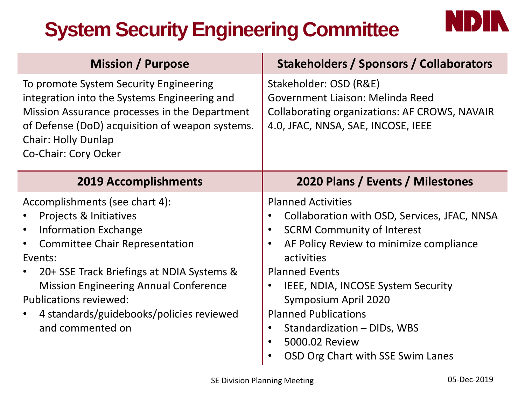# **System Security Engineering Committee**

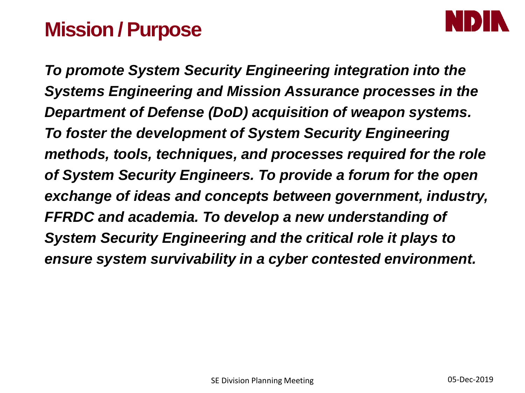#### **Mission / Purpose**



*To promote System Security Engineering integration into the Systems Engineering and Mission Assurance processes in the Department of Defense (DoD) acquisition of weapon systems. To foster the development of System Security Engineering methods, tools, techniques, and processes required for the role of System Security Engineers. To provide a forum for the open exchange of ideas and concepts between government, industry, FFRDC and academia. To develop a new understanding of System Security Engineering and the critical role it plays to ensure system survivability in a cyber contested environment.*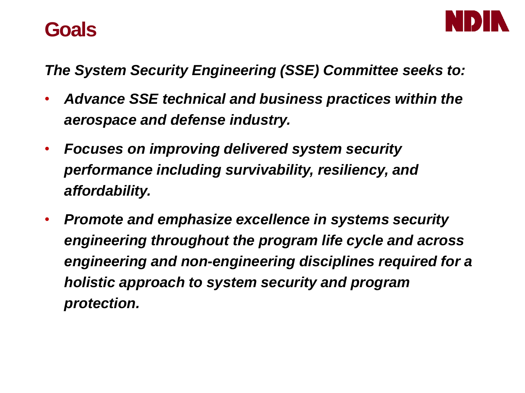#### **Goals**



*The System Security Engineering (SSE) Committee seeks to:*

- *Advance SSE technical and business practices within the aerospace and defense industry.*
- *Focuses on improving delivered system security performance including survivability, resiliency, and affordability.*
- *Promote and emphasize excellence in systems security engineering throughout the program life cycle and across engineering and non-engineering disciplines required for a holistic approach to system security and program protection.*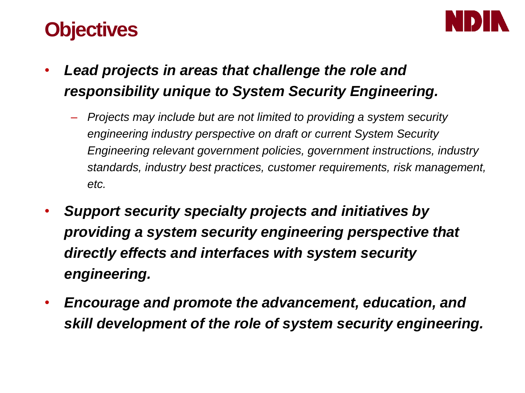### **Objectives**



- *Lead projects in areas that challenge the role and responsibility unique to System Security Engineering.*
	- *Projects may include but are not limited to providing a system security engineering industry perspective on draft or current System Security Engineering relevant government policies, government instructions, industry standards, industry best practices, customer requirements, risk management, etc.*
- *Support security specialty projects and initiatives by providing a system security engineering perspective that directly effects and interfaces with system security engineering.*
- *Encourage and promote the advancement, education, and skill development of the role of system security engineering.*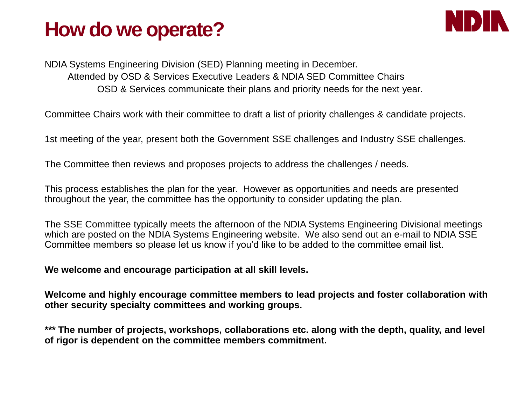### **How do we operate?**



NDIA Systems Engineering Division (SED) Planning meeting in December. Attended by OSD & Services Executive Leaders & NDIA SED Committee Chairs OSD & Services communicate their plans and priority needs for the next year.

Committee Chairs work with their committee to draft a list of priority challenges & candidate projects.

1st meeting of the year, present both the Government SSE challenges and Industry SSE challenges.

The Committee then reviews and proposes projects to address the challenges / needs.

This process establishes the plan for the year. However as opportunities and needs are presented throughout the year, the committee has the opportunity to consider updating the plan.

The SSE Committee typically meets the afternoon of the NDIA Systems Engineering Divisional meetings which are posted on the NDIA Systems Engineering website. We also send out an e-mail to NDIA SSE Committee members so please let us know if you'd like to be added to the committee email list.

**We welcome and encourage participation at all skill levels.** 

**Welcome and highly encourage committee members to lead projects and foster collaboration with other security specialty committees and working groups.** 

**\*\*\* The number of projects, workshops, collaborations etc. along with the depth, quality, and level of rigor is dependent on the committee members commitment.**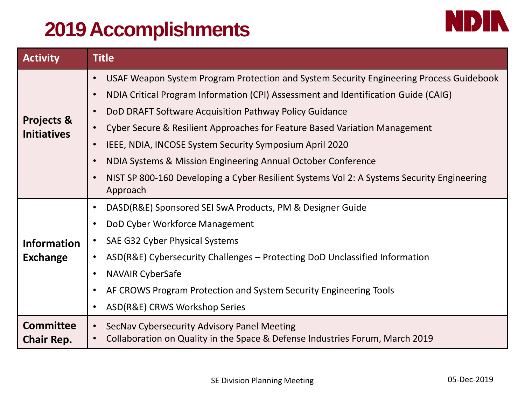## **2019 Accomplishments**



| <b>Activity</b>                             | <b>Title</b>                                                                                                                |
|---------------------------------------------|-----------------------------------------------------------------------------------------------------------------------------|
| <b>Projects &amp;</b><br><b>Initiatives</b> | USAF Weapon System Program Protection and System Security Engineering Process Guidebook                                     |
|                                             | NDIA Critical Program Information (CPI) Assessment and Identification Guide (CAIG)<br>$\bullet$                             |
|                                             | DoD DRAFT Software Acquisition Pathway Policy Guidance                                                                      |
|                                             | Cyber Secure & Resilient Approaches for Feature Based Variation Management                                                  |
|                                             | IEEE, NDIA, INCOSE System Security Symposium April 2020                                                                     |
|                                             | NDIA Systems & Mission Engineering Annual October Conference                                                                |
|                                             | NIST SP 800-160 Developing a Cyber Resilient Systems Vol 2: A Systems Security Engineering<br>$\bullet$<br>Approach         |
| <b>Information</b><br><b>Exchange</b>       | DASD(R&E) Sponsored SEI SwA Products, PM & Designer Guide<br>$\bullet$                                                      |
|                                             | DoD Cyber Workforce Management<br>$\bullet$                                                                                 |
|                                             | SAE G32 Cyber Physical Systems                                                                                              |
|                                             | ASD(R&E) Cybersecurity Challenges - Protecting DoD Unclassified Information<br>$\bullet$                                    |
|                                             | <b>NAVAIR CyberSafe</b><br>$\bullet$                                                                                        |
|                                             | AF CROWS Program Protection and System Security Engineering Tools<br>$\bullet$                                              |
|                                             | ASD(R&E) CRWS Workshop Series<br>$\bullet$                                                                                  |
| <b>Committee</b><br><b>Chair Rep.</b>       | SecNav Cybersecurity Advisory Panel Meeting<br>Collaboration on Quality in the Space & Defense Industries Forum, March 2019 |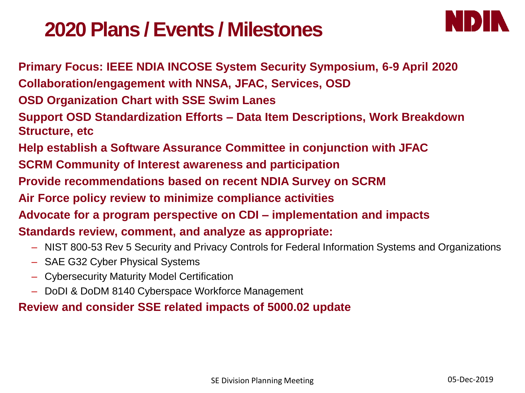#### **2020 Plans / Events / Milestones**



**Primary Focus: IEEE NDIA INCOSE System Security Symposium, 6-9 April 2020 Collaboration/engagement with NNSA, JFAC, Services, OSD OSD Organization Chart with SSE Swim Lanes Support OSD Standardization Efforts – Data Item Descriptions, Work Breakdown Structure, etc Help establish a Software Assurance Committee in conjunction with JFAC**

- **SCRM Community of Interest awareness and participation**
- **Provide recommendations based on recent NDIA Survey on SCRM**
- **Air Force policy review to minimize compliance activities**
- **Advocate for a program perspective on CDI – implementation and impacts**
- **Standards review, comment, and analyze as appropriate:**
	- NIST 800-53 Rev 5 Security and Privacy Controls for Federal Information Systems and Organizations
	- SAE G32 Cyber Physical Systems
	- Cybersecurity Maturity Model Certification
	- DoDI & DoDM 8140 Cyberspace Workforce Management

#### **Review and consider SSE related impacts of 5000.02 update**